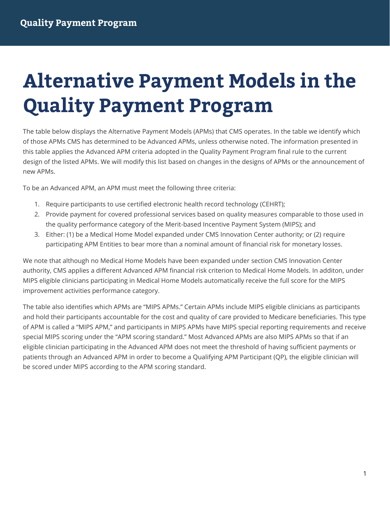# **Alternative Payment Models in the Quality Payment Program**

The table below displays the Alternative Payment Models (APMs) that CMS operates. In the table we identify which of those APMs CMS has determined to be Advanced APMs, unless otherwise noted. The information presented in this table applies the Advanced APM criteria adopted in the Quality Payment Program final rule to the current design of the listed APMs. We will modify this list based on changes in the designs of APMs or the announcement of new APMs.

To be an Advanced APM, an APM must meet the following three criteria:

- 1. Require participants to use certified electronic health record technology (CEHRT);
- 2. Provide payment for covered professional services based on quality measures comparable to those used in the quality performance category of the Merit-based Incentive Payment System (MIPS); and
- 3. Either: (1) be a Medical Home Model expanded under CMS Innovation Center authority; or (2) require participating APM Entities to bear more than a nominal amount of financial risk for monetary losses.

We note that although no Medical Home Models have been expanded under section CMS Innovation Center authority, CMS applies a different Advanced APM financial risk criterion to Medical Home Models. In additon, under MIPS eligible clinicians participating in Medical Home Models automatically receive the full score for the MIPS improvement activities performance category.

The table also identifies which APMs are "MIPS APMs." Certain APMs include MIPS eligible clinicians as participants and hold their participants accountable for the cost and quality of care provided to Medicare beneficiaries. This type of APM is called a "MIPS APM," and participants in MIPS APMs have MIPS special reporting requirements and receive special MIPS scoring under the "APM scoring standard." Most Advanced APMs are also MIPS APMs so that if an eligible clinician participating in the Advanced APM does not meet the threshold of having sufficient payments or patients through an Advanced APM in order to become a Qualifying APM Participant (QP), the eligible clinician will be scored under MIPS according to the APM scoring standard.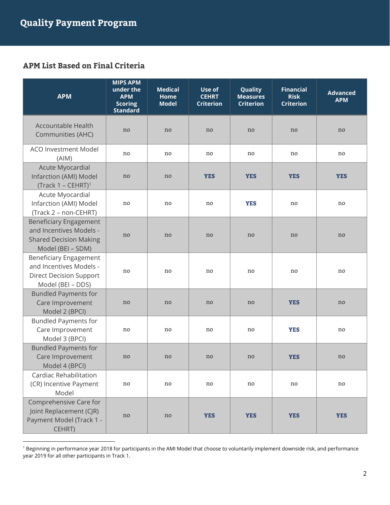#### **APM List Based on Final Criteria**

| <b>APM</b>                                                                                                      | <b>MIPS APM</b><br>under the<br><b>APM</b><br><b>Scoring</b><br><b>Standard</b> | <b>Medical</b><br>Home<br><b>Model</b> | Use of<br><b>CEHRT</b><br><b>Criterion</b> | Quality<br><b>Measures</b><br><b>Criterion</b> | <b>Financial</b><br><b>Risk</b><br><b>Criterion</b> | <b>Advanced</b><br><b>APM</b> |
|-----------------------------------------------------------------------------------------------------------------|---------------------------------------------------------------------------------|----------------------------------------|--------------------------------------------|------------------------------------------------|-----------------------------------------------------|-------------------------------|
| <b>Accountable Health</b><br>Communities (AHC)                                                                  | no                                                                              | no                                     | no                                         | no                                             | no                                                  | no                            |
| <b>ACO Investment Model</b><br>(AIM)                                                                            | no.                                                                             | no.                                    | no                                         | no                                             | no                                                  | no                            |
| Acute Myocardial<br>Infarction (AMI) Model<br>$(Track 1 - CEHRT)^1$                                             | no                                                                              | no                                     | <b>YES</b>                                 | <b>YES</b>                                     | <b>YES</b>                                          | <b>YES</b>                    |
| Acute Myocardial<br>Infarction (AMI) Model<br>(Track 2 - non-CEHRT)                                             | no.                                                                             | no.                                    | no                                         | <b>YES</b>                                     | no                                                  | no                            |
| <b>Beneficiary Engagement</b><br>and Incentives Models -<br><b>Shared Decision Making</b><br>Model (BEI - SDM)  | no                                                                              | no                                     | no                                         | no                                             | no                                                  | n <sub>o</sub>                |
| <b>Beneficiary Engagement</b><br>and Incentives Models -<br><b>Direct Decision Support</b><br>Model (BEI - DDS) | no                                                                              | no.                                    | no.                                        | no                                             | no                                                  | no                            |
| <b>Bundled Payments for</b><br>Care Improvement<br>Model 2 (BPCI)                                               | no                                                                              | no                                     | n <sub>o</sub>                             | no                                             | <b>YES</b>                                          | no                            |
| <b>Bundled Payments for</b><br>Care Improvement<br>Model 3 (BPCI)                                               | no                                                                              | no.                                    | no.                                        | no                                             | <b>YES</b>                                          | no                            |
| <b>Bundled Payments for</b><br>Care Improvement<br>Model 4 (BPCI)                                               | no                                                                              | no                                     | no                                         | no                                             | <b>YES</b>                                          | no                            |
| Cardiac Rehabilitation<br>(CR) Incentive Payment<br>Model                                                       | no                                                                              | no                                     | no                                         | no                                             | no                                                  | no                            |
| Comprehensive Care for<br>Joint Replacement (CJR)<br>Payment Model (Track 1 -<br>CEHRT)                         | no                                                                              | no                                     | <b>YES</b>                                 | <b>YES</b>                                     | <b>YES</b>                                          | <b>YES</b>                    |

<sup>1</sup> Beginning in performance year 2018 for participants in the AMI Model that choose to voluntarily implement downside risk, and performance year 2019 for all other participants in Track 1.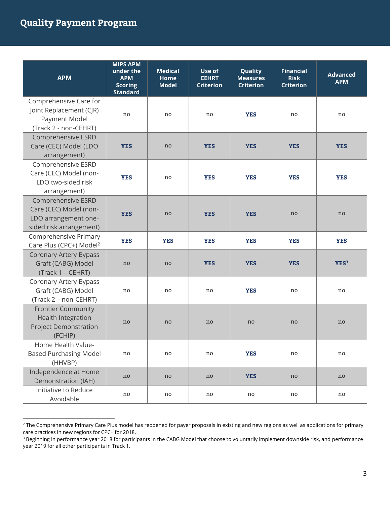| <b>APM</b>                                                                                        | <b>MIPS APM</b><br>under the<br><b>APM</b><br><b>Scoring</b><br><b>Standard</b> | <b>Medical</b><br>Home<br><b>Model</b> | Use of<br><b>CEHRT</b><br><b>Criterion</b> | Quality<br><b>Measures</b><br><b>Criterion</b> | <b>Financial</b><br><b>Risk</b><br><b>Criterion</b> | <b>Advanced</b><br><b>APM</b> |
|---------------------------------------------------------------------------------------------------|---------------------------------------------------------------------------------|----------------------------------------|--------------------------------------------|------------------------------------------------|-----------------------------------------------------|-------------------------------|
| Comprehensive Care for<br>Joint Replacement (CJR)<br>Payment Model<br>(Track 2 - non-CEHRT)       | no                                                                              | no                                     | no                                         | <b>YES</b>                                     | no                                                  | no                            |
| Comprehensive ESRD<br>Care (CEC) Model (LDO<br>arrangement)                                       | <b>YES</b>                                                                      | no                                     | <b>YES</b>                                 | <b>YES</b>                                     | <b>YES</b>                                          | <b>YES</b>                    |
| Comprehensive ESRD<br>Care (CEC) Model (non-<br>LDO two-sided risk<br>arrangement)                | <b>YES</b>                                                                      | no                                     | <b>YES</b>                                 | <b>YES</b>                                     | <b>YES</b>                                          | <b>YES</b>                    |
| Comprehensive ESRD<br>Care (CEC) Model (non-<br>LDO arrangement one-<br>sided risk arrangement)   | <b>YES</b>                                                                      | no                                     | <b>YES</b>                                 | <b>YES</b>                                     | no                                                  | no                            |
| Comprehensive Primary<br>Care Plus (CPC+) Model <sup>2</sup>                                      | <b>YES</b>                                                                      | <b>YES</b>                             | <b>YES</b>                                 | <b>YES</b>                                     | <b>YES</b>                                          | <b>YES</b>                    |
| <b>Coronary Artery Bypass</b><br>Graft (CABG) Model<br>(Track 1 - CEHRT)                          | no                                                                              | no                                     | <b>YES</b>                                 | <b>YES</b>                                     | <b>YES</b>                                          | YES <sup>3</sup>              |
| Coronary Artery Bypass<br>Graft (CABG) Model<br>(Track 2 - non-CEHRT)                             | no                                                                              | no                                     | no                                         | <b>YES</b>                                     | no                                                  | no                            |
| <b>Frontier Community</b><br><b>Health Integration</b><br><b>Project Demonstration</b><br>(FCHIP) | no                                                                              | no                                     | no                                         | no                                             | no                                                  | n <sub>o</sub>                |
| Home Health Value-<br><b>Based Purchasing Model</b><br>(HHVBP)                                    | no                                                                              | no                                     | no                                         | <b>YES</b>                                     | no                                                  | no                            |
| Independence at Home<br>Demonstration (IAH)                                                       | no                                                                              | no                                     | no                                         | <b>YES</b>                                     | no                                                  | no                            |
| Initiative to Reduce<br>Avoidable                                                                 | no                                                                              | no                                     | no                                         | no                                             | no                                                  | no                            |

 $^2$  The Comprehensive Primary Care Plus model has reopened for payer proposals in existing and new regions as well as applications for primary care practices in new regions for CPC+ for 2018.

<sup>&</sup>lt;sup>3</sup> Beginning in performance year 2018 for participants in the CABG Model that choose to voluntarily implement downside risk, and performance year 2019 for all other participants in Track 1.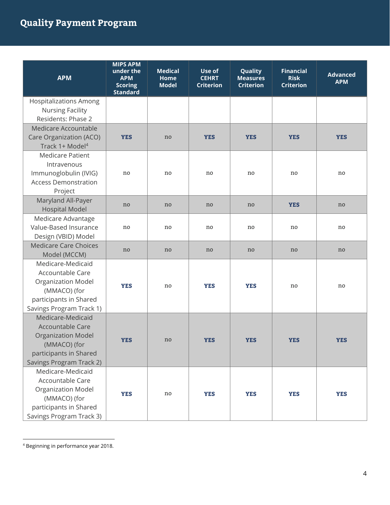| <b>APM</b>                                  | <b>MIPS APM</b><br>under the<br><b>APM</b><br><b>Scoring</b><br><b>Standard</b> | <b>Medical</b><br>Home<br><b>Model</b> | Use of<br><b>CEHRT</b><br><b>Criterion</b> | Quality<br><b>Measures</b><br><b>Criterion</b> | <b>Financial</b><br><b>Risk</b><br><b>Criterion</b> | <b>Advanced</b><br><b>APM</b> |
|---------------------------------------------|---------------------------------------------------------------------------------|----------------------------------------|--------------------------------------------|------------------------------------------------|-----------------------------------------------------|-------------------------------|
| <b>Hospitalizations Among</b>               |                                                                                 |                                        |                                            |                                                |                                                     |                               |
| <b>Nursing Facility</b>                     |                                                                                 |                                        |                                            |                                                |                                                     |                               |
| Residents: Phase 2                          |                                                                                 |                                        |                                            |                                                |                                                     |                               |
| Medicare Accountable                        |                                                                                 |                                        |                                            |                                                |                                                     |                               |
| Care Organization (ACO)                     | <b>YES</b>                                                                      | no                                     | <b>YES</b>                                 | <b>YES</b>                                     | <b>YES</b>                                          | <b>YES</b>                    |
| Track 1+ Model <sup>4</sup>                 |                                                                                 |                                        |                                            |                                                |                                                     |                               |
| <b>Medicare Patient</b>                     |                                                                                 |                                        |                                            |                                                |                                                     |                               |
| Intravenous                                 |                                                                                 |                                        |                                            |                                                |                                                     |                               |
| Immunoglobulin (IVIG)                       | no                                                                              | no                                     | no                                         | no                                             | no                                                  | no                            |
| <b>Access Demonstration</b>                 |                                                                                 |                                        |                                            |                                                |                                                     |                               |
| Project                                     |                                                                                 |                                        |                                            |                                                |                                                     |                               |
| Maryland All-Payer                          | no                                                                              | no                                     | no                                         | no                                             | <b>YES</b>                                          | no                            |
| <b>Hospital Model</b>                       |                                                                                 |                                        |                                            |                                                |                                                     |                               |
| Medicare Advantage<br>Value-Based Insurance | no                                                                              | no                                     | no                                         | no                                             | no                                                  | no                            |
| Design (VBID) Model                         |                                                                                 |                                        |                                            |                                                |                                                     |                               |
| <b>Medicare Care Choices</b>                |                                                                                 |                                        |                                            |                                                |                                                     |                               |
| Model (MCCM)                                | no                                                                              | no                                     | no                                         | no                                             | no                                                  | no                            |
| Medicare-Medicaid                           |                                                                                 |                                        |                                            |                                                |                                                     |                               |
| Accountable Care                            |                                                                                 |                                        |                                            |                                                |                                                     |                               |
| <b>Organization Model</b>                   |                                                                                 |                                        |                                            |                                                |                                                     |                               |
| (MMACO) (for                                | <b>YES</b>                                                                      | no                                     | <b>YES</b>                                 | <b>YES</b>                                     | no                                                  | no                            |
| participants in Shared                      |                                                                                 |                                        |                                            |                                                |                                                     |                               |
| Savings Program Track 1)                    |                                                                                 |                                        |                                            |                                                |                                                     |                               |
| Medicare-Medicaid                           |                                                                                 |                                        |                                            |                                                |                                                     |                               |
| Accountable Care                            |                                                                                 |                                        |                                            |                                                |                                                     |                               |
| <b>Organization Model</b>                   | <b>YES</b>                                                                      | no                                     | <b>YES</b>                                 | <b>YES</b>                                     | <b>YES</b>                                          | <b>YES</b>                    |
| (MMACO) (for                                |                                                                                 |                                        |                                            |                                                |                                                     |                               |
| participants in Shared                      |                                                                                 |                                        |                                            |                                                |                                                     |                               |
| Savings Program Track 2)                    |                                                                                 |                                        |                                            |                                                |                                                     |                               |
| Medicare-Medicaid                           |                                                                                 |                                        |                                            |                                                |                                                     |                               |
| Accountable Care                            |                                                                                 |                                        |                                            |                                                |                                                     |                               |
| Organization Model                          | <b>YES</b>                                                                      | no                                     | <b>YES</b>                                 | <b>YES</b>                                     | <b>YES</b>                                          | <b>YES</b>                    |
| (MMACO) (for                                |                                                                                 |                                        |                                            |                                                |                                                     |                               |
| participants in Shared                      |                                                                                 |                                        |                                            |                                                |                                                     |                               |
| Savings Program Track 3)                    |                                                                                 |                                        |                                            |                                                |                                                     |                               |

 4 Beginning in performance year 2018.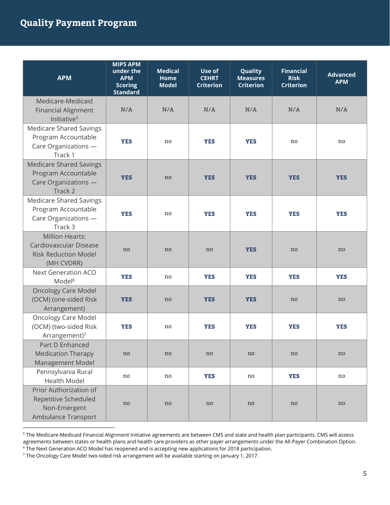| <b>APM</b>                                                                                    | <b>MIPS APM</b><br>under the<br><b>APM</b><br><b>Scoring</b><br><b>Standard</b> | <b>Medical</b><br>Home<br><b>Model</b> | Use of<br><b>CEHRT</b><br><b>Criterion</b> | Quality<br><b>Measures</b><br><b>Criterion</b> | <b>Financial</b><br><b>Risk</b><br><b>Criterion</b> | <b>Advanced</b><br><b>APM</b> |
|-----------------------------------------------------------------------------------------------|---------------------------------------------------------------------------------|----------------------------------------|--------------------------------------------|------------------------------------------------|-----------------------------------------------------|-------------------------------|
| Medicare-Medicaid<br><b>Financial Alignment</b><br>Initiative <sup>5</sup>                    | N/A                                                                             | N/A                                    | N/A                                        | N/A                                            | N/A                                                 | N/A                           |
| <b>Medicare Shared Savings</b><br>Program Accountable<br>Care Organizations -<br>Track 1      | <b>YES</b>                                                                      | no                                     | <b>YES</b>                                 | <b>YES</b>                                     | no                                                  | no                            |
| <b>Medicare Shared Savings</b><br>Program Accountable<br>Care Organizations -<br>Track 2      | <b>YES</b>                                                                      | no                                     | <b>YES</b>                                 | <b>YES</b>                                     | <b>YES</b>                                          | <b>YES</b>                    |
| <b>Medicare Shared Savings</b><br>Program Accountable<br>Care Organizations -<br>Track 3      | <b>YES</b>                                                                      | no                                     | <b>YES</b>                                 | <b>YES</b>                                     | <b>YES</b>                                          | <b>YES</b>                    |
| <b>Million Hearts:</b><br>Cardiovascular Disease<br><b>Risk Reduction Model</b><br>(MH CVDRR) | no                                                                              | no                                     | no                                         | <b>YES</b>                                     | no                                                  | no                            |
| <b>Next Generation ACO</b><br>Model <sup>6</sup>                                              | <b>YES</b>                                                                      | no                                     | <b>YES</b>                                 | <b>YES</b>                                     | <b>YES</b>                                          | <b>YES</b>                    |
| <b>Oncology Care Model</b><br>(OCM) (one-sided Risk<br>Arrangement)                           | <b>YES</b>                                                                      | no                                     | <b>YES</b>                                 | <b>YES</b>                                     | no                                                  | no                            |
| <b>Oncology Care Model</b><br>(OCM) (two-sided Risk<br>Arrangement) <sup>7</sup>              | <b>YES</b>                                                                      | no                                     | <b>YES</b>                                 | <b>YES</b>                                     | <b>YES</b>                                          | <b>YES</b>                    |
| Part D Enhanced<br><b>Medication Therapy</b><br>Management Model                              | no                                                                              | no                                     | no                                         | no                                             | no                                                  | no                            |
| Pennsylvania Rural<br><b>Health Model</b>                                                     | no                                                                              | no                                     | <b>YES</b>                                 | no                                             | <b>YES</b>                                          | no                            |
| Prior Authorization of<br>Repetitive Scheduled<br>Non-Emergent<br>Ambulance Transport         | no                                                                              | no                                     | no                                         | no                                             | no                                                  | no                            |

<sup>&</sup>lt;sup>5</sup> The Medicare-Medicaid Financial Alignment Initiative agreements are between CMS and state and health plan participants. CMS will assess agreements between states or health plans and health care providers as other payer arrangements under the All-Payer Combination Option. 6 The Next Generation ACO Model has reopened and is accepting new applications for 2018 participation.

 $^7$  The Oncology Care Model two-sided risk arrangement will be available starting on January 1, 2017.